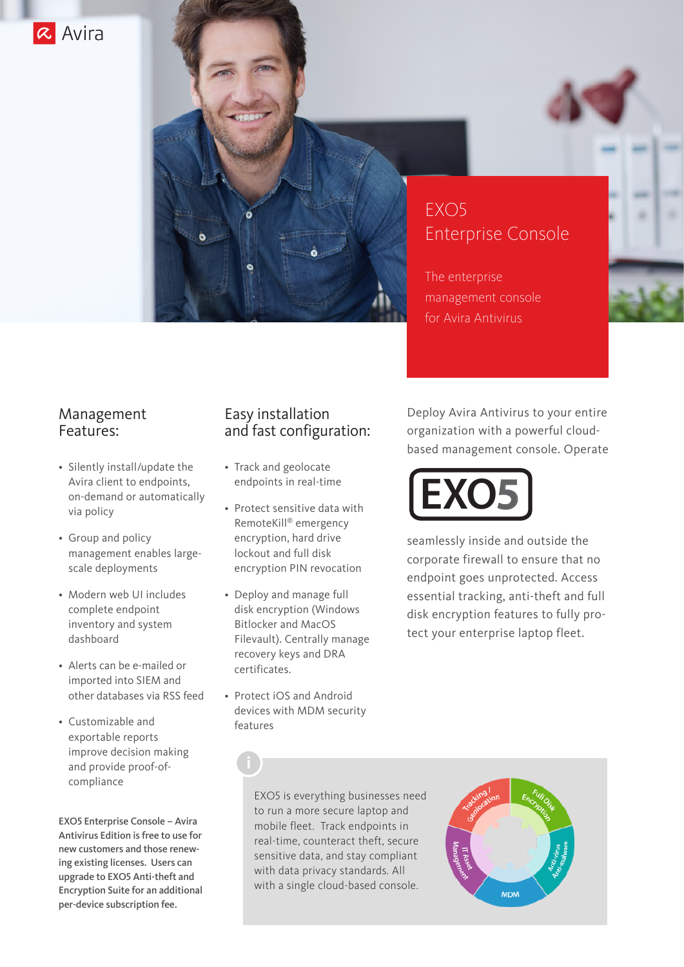



The enterprise management console for Avira Antivirus

### Management Features:

- Silently install/update the Avira client to endpoints, on-demand or automatically via policy
- Group and policy management enables largescale deployments
- Modern web UI includes complete endpoint inventory and system dashboard
- Alerts can be e-mailed or imported into SIEM and other databases via RSS feed
- Customizable and exportable reports improve decision making and provide proof-ofcompliance

EXO5 Enterprise Console – Avira Antivirus Edition is free to use for new customers and those renewing existing licenses. Users can upgrade to EXO5 Anti-theft and Encryption Suite for an additional per-device subscription fee.

### Easy installation and fast configuration:

- Track and geolocate endpoints in real-time
- Protect sensitive data with RemoteKill® emergency encryption, hard drive lockout and full disk encryption PIN revocation
- Deploy and manage full disk encryption (Windows Bitlocker and MacOS Filevault). Centrally manage recovery keys and DRA certificates.
- Protect iOS and Android devices with MDM security features

Deploy Avira Antivirus to your entire organization with a powerful cloudbased management console. Operate



seamlessly inside and outside the corporate firewall to ensure that no endpoint goes unprotected. Access essential tracking, anti-theft and full disk encryption features to fully protect your enterprise laptop fleet.

EXO5 is everything businesses need to run a more secure laptop and mobile fleet. Track endpoints in real-time, counteract theft, secure sensitive data, and stay compliant with data privacy standards. All with a single cloud-based console.